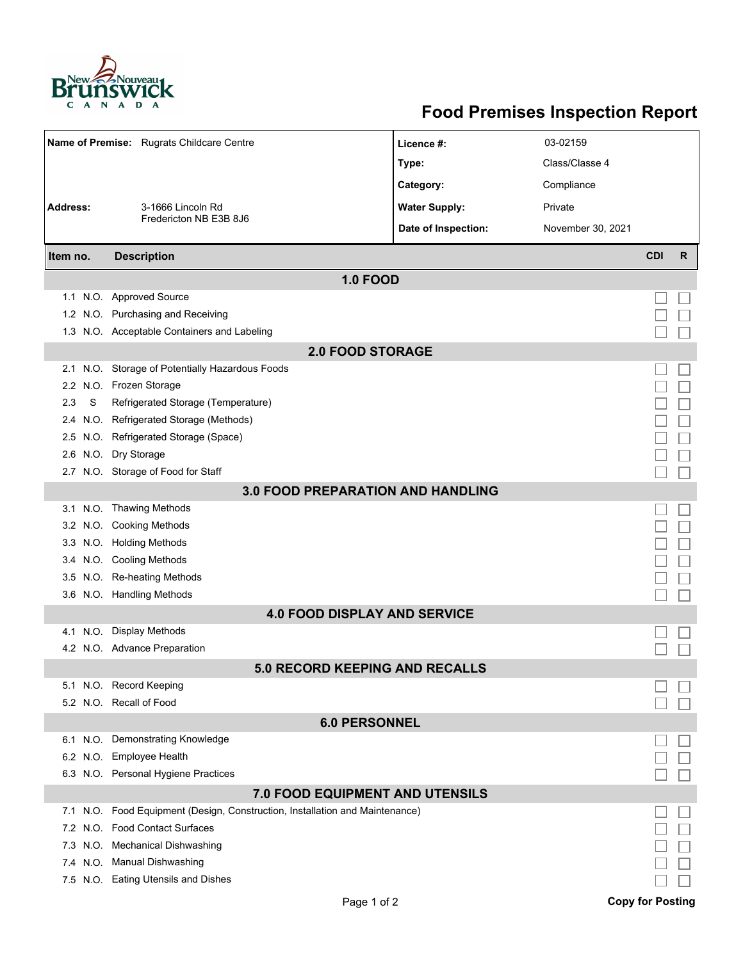

## **Food Premises Inspection Report**

| Name of Premise: Rugrats Childcare Centre |                                                                          | Licence #:           | 03-02159          |            |              |  |  |  |  |
|-------------------------------------------|--------------------------------------------------------------------------|----------------------|-------------------|------------|--------------|--|--|--|--|
|                                           |                                                                          | Type:                | Class/Classe 4    |            |              |  |  |  |  |
|                                           |                                                                          | Category:            | Compliance        |            |              |  |  |  |  |
| <b>Address:</b><br>3-1666 Lincoln Rd      |                                                                          | <b>Water Supply:</b> | Private           |            |              |  |  |  |  |
|                                           | Fredericton NB E3B 8J6                                                   | Date of Inspection:  |                   |            |              |  |  |  |  |
|                                           |                                                                          |                      | November 30, 2021 |            |              |  |  |  |  |
| Item no.                                  | <b>Description</b>                                                       |                      |                   | <b>CDI</b> | $\mathsf{R}$ |  |  |  |  |
| <b>1.0 FOOD</b>                           |                                                                          |                      |                   |            |              |  |  |  |  |
|                                           | 1.1 N.O. Approved Source                                                 |                      |                   |            |              |  |  |  |  |
|                                           | 1.2 N.O. Purchasing and Receiving                                        |                      |                   |            |              |  |  |  |  |
|                                           | 1.3 N.O. Acceptable Containers and Labeling                              |                      |                   |            |              |  |  |  |  |
| <b>2.0 FOOD STORAGE</b>                   |                                                                          |                      |                   |            |              |  |  |  |  |
| 2.1                                       | N.O. Storage of Potentially Hazardous Foods                              |                      |                   |            |              |  |  |  |  |
| 2.2                                       | N.O. Frozen Storage                                                      |                      |                   |            |              |  |  |  |  |
| 2.3<br>S                                  | Refrigerated Storage (Temperature)                                       |                      |                   |            |              |  |  |  |  |
| 2.4                                       | N.O. Refrigerated Storage (Methods)                                      |                      |                   |            |              |  |  |  |  |
| 2.5                                       | N.O. Refrigerated Storage (Space)                                        |                      |                   |            |              |  |  |  |  |
| 2.6                                       | N.O. Dry Storage                                                         |                      |                   |            |              |  |  |  |  |
|                                           | 2.7 N.O. Storage of Food for Staff                                       |                      |                   |            |              |  |  |  |  |
| <b>3.0 FOOD PREPARATION AND HANDLING</b>  |                                                                          |                      |                   |            |              |  |  |  |  |
|                                           | 3.1 N.O. Thawing Methods                                                 |                      |                   |            |              |  |  |  |  |
|                                           | 3.2 N.O. Cooking Methods                                                 |                      |                   |            |              |  |  |  |  |
|                                           | 3.3 N.O. Holding Methods                                                 |                      |                   |            |              |  |  |  |  |
|                                           | 3.4 N.O. Cooling Methods                                                 |                      |                   |            |              |  |  |  |  |
| 3.5                                       | N.O. Re-heating Methods                                                  |                      |                   |            |              |  |  |  |  |
|                                           | 3.6 N.O. Handling Methods                                                |                      |                   |            |              |  |  |  |  |
|                                           | <b>4.0 FOOD DISPLAY AND SERVICE</b>                                      |                      |                   |            |              |  |  |  |  |
|                                           | 4.1 N.O. Display Methods                                                 |                      |                   |            |              |  |  |  |  |
|                                           | 4.2 N.O. Advance Preparation                                             |                      |                   |            |              |  |  |  |  |
|                                           | <b>5.0 RECORD KEEPING AND RECALLS</b>                                    |                      |                   |            |              |  |  |  |  |
|                                           | 5.1 N.O. Record Keeping                                                  |                      |                   |            |              |  |  |  |  |
|                                           | 5.2 N.O. Recall of Food                                                  |                      |                   |            |              |  |  |  |  |
| <b>6.0 PERSONNEL</b>                      |                                                                          |                      |                   |            |              |  |  |  |  |
|                                           | 6.1 N.O. Demonstrating Knowledge                                         |                      |                   |            |              |  |  |  |  |
|                                           | 6.2 N.O. Employee Health                                                 |                      |                   |            |              |  |  |  |  |
|                                           | 6.3 N.O. Personal Hygiene Practices                                      |                      |                   |            |              |  |  |  |  |
|                                           | <b>7.0 FOOD EQUIPMENT AND UTENSILS</b>                                   |                      |                   |            |              |  |  |  |  |
| 7.1                                       | N.O. Food Equipment (Design, Construction, Installation and Maintenance) |                      |                   |            |              |  |  |  |  |
|                                           | 7.2 N.O. Food Contact Surfaces                                           |                      |                   |            |              |  |  |  |  |
| 7.3                                       | N.O. Mechanical Dishwashing                                              |                      |                   |            |              |  |  |  |  |
|                                           | 7.4 N.O. Manual Dishwashing                                              |                      |                   |            |              |  |  |  |  |
|                                           | 7.5 N.O. Eating Utensils and Dishes                                      |                      |                   |            |              |  |  |  |  |